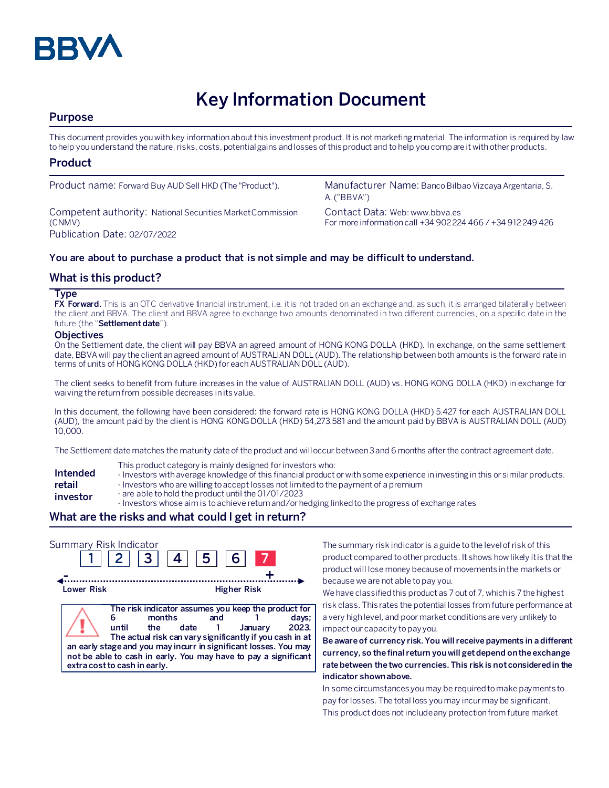

# **Key Information Document**

# **Purpose**

This document provides you with key information about this investment product. It is not marketing material. The information is required by law to help you understand the nature, risks, costs, potential gains and losses of this product and to help you compare it with other products.

# **Product**

Competent authority: National Securities Market Commission (CNMV) Publication Date: 02/07/2022

Product name: Forward Buy AUD Sell HKD (The "Product"). Manufacturer Name: Banco Bilbao Vizcaya Argentaria, S. A. ("BBVA")

> Contact Data: Web: www.bbva.es For more information call +34 902 224 466 / +34 912 249 426

### **You are about to purchase a product that is not simple and may be difficult to understand.**

# **What is this product?**

#### **Type**

**FX Forward.** This is an OTC derivative financial instrument, i.e. it is not traded on an exchange and, as such, it is arranged bilaterally between the client and BBVA. The client and BBVA agree to exchange two amounts denominated in two different currencies, on a specific date in the future (the "**Settlement date**").

#### **Objectives**

On the Settlement date, the client will pay BBVA an agreed amount of HONG KONG DOLLA (HKD). In exchange, on the same settlement date, BBVA will pay the client an agreed amount of AUSTRALIAN DOLL (AUD). The relationship between both amounts is the forward rate in terms of units of HONG KONG DOLLA(HKD)for each AUSTRALIAN DOLL (AUD).

The client seeks to benefit from future increases in the value of AUSTRALIAN DOLL (AUD) vs. HONG KONG DOLLA (HKD) in exchange for waiving the return from possible decreases in its value.

In this document, the following have been considered: the forward rate is HONG KONG DOLLA (HKD) 5.427 for each AUSTRALIAN DOLL (AUD), the amount paid by the client is HONG KONG DOLLA (HKD) 54,273.581 and the amount paid by BBVA is AUSTRALIAN DOLL (AUD) 10,000.

The Settlement date matches the maturity date of the product and will occur between 3 and 6 months after the contract agreement date.

- This product category is mainly designed for investors who:
- **Intended**  - Investors with average knowledge of this financial product or with some experience in investing in this or similar products.
- **retail**  - Investors who are willing to accept losses not limited to the payment of a premium
- **investor**
- are able to hold the product until the 01/01/2023
- Investors whose aim is to achieve return and/or hedging linked to the progress of exchange rates

#### **What are the risks and what could I get in return?**

| Summary Risk Indicator | 2 <sup>1</sup>                                                                                                                                                                                                                                                                                                   |      | 5 <sub>1</sub> | 6.                 |                |
|------------------------|------------------------------------------------------------------------------------------------------------------------------------------------------------------------------------------------------------------------------------------------------------------------------------------------------------------|------|----------------|--------------------|----------------|
| Lower Risk             |                                                                                                                                                                                                                                                                                                                  |      |                | <b>Higher Risk</b> |                |
|                        | The risk indicator assumes you keep the product for<br>months<br>until<br>the<br>The actual risk can vary significantly if you cash in at<br>an early stage and you may incurr in significant losses. You may<br>not be able to cash in early. You may have to pay a significant<br>extra cost to cash in early. | date | and            | January            | days;<br>2023. |

The summary risk indicator is a guide to the level of risk of this product compared to other products. It shows how likely it is that the product will lose money because of movements in the markets or because we are not able to pay you.

We have classified this product as 7 out of 7, which is 7 the highest risk class. This rates the potential losses from future performance at a very high level, and poor market conditions are very unlikely to impact our capacity to pay you.

**Be aware of currency risk. You will receive payments in a different currency, so the final return you will get depend on the exchange rate between the two currencies. This risk is not considered in the indicator shown above.**

In some circumstances you may be required to make payments to pay for losses. The total loss you may incur may be significant. This product does not include any protection from future market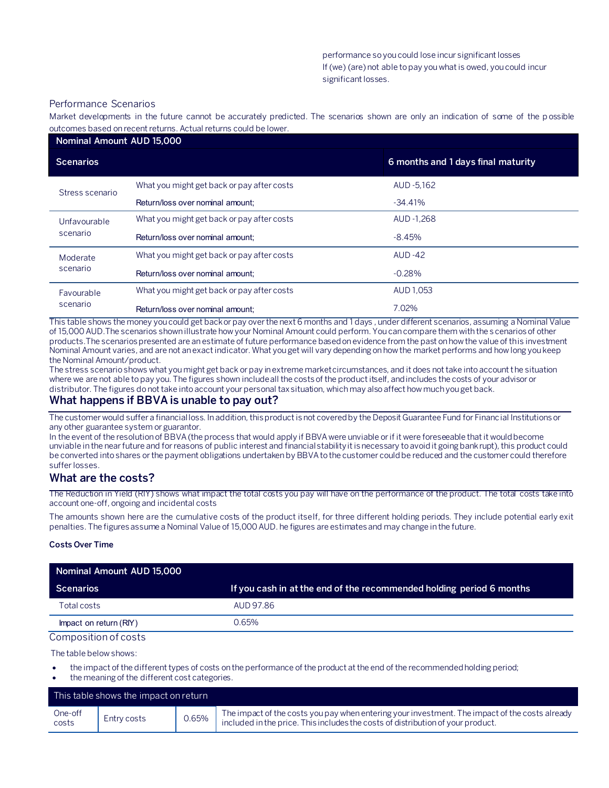#### Performance Scenarios

Market developments in the future cannot be accurately predicted. The scenarios shown are only an indication of some of the p ossible outcomes based on recent returns. Actual returns could be lower.

| Nominal Amount AUD 15,000 |                                            |                                    |  |  |
|---------------------------|--------------------------------------------|------------------------------------|--|--|
| <b>Scenarios</b>          |                                            | 6 months and 1 days final maturity |  |  |
| Stress scenario           | What you might get back or pay after costs | AUD -5,162                         |  |  |
|                           | Return/loss over nominal amount:           | $-34.41\%$                         |  |  |
| Unfavourable<br>scenario  | What you might get back or pay after costs | AUD -1.268                         |  |  |
|                           | Return/loss over nominal amount:           | -8.45%                             |  |  |
| Moderate<br>scenario      | What you might get back or pay after costs | <b>AUD-42</b>                      |  |  |
|                           | Return/loss over nominal amount:           | $-0.28%$                           |  |  |
| Favourable<br>scenario    | What you might get back or pay after costs | AUD 1.053                          |  |  |
|                           | Return/loss over nominal amount:           | 7.02%                              |  |  |

This table shows the money you could get back or pay over the next 6 months and 1 days , under different scenarios, assuming a Nominal Value of 15,000 AUD.The scenarios shown illustrate how your Nominal Amount could perform. You can compare them with the s cenarios of other products.The scenarios presented are an estimate of future performance based on evidence from the past on how the value of this investment Nominal Amount varies, and are not an exact indicator. What you get will vary depending on how the market performs and how long you keep the Nominal Amount/product.

The stress scenario shows what you might get back or pay in extreme market circumstances, and it does not take into account the situation where we are not able to pay you. The figures shown include all the costs of the product itself, and includes the costs of your advisor or distributor. The figures do not take into account your personal tax situation, which may also affect how much you get back.

#### **What happens if BBVA is unable to pay out?**

The customer would suffer a financial loss. In addition, this product is not covered by the Deposit Guarantee Fund for Financial Institutions or any other guarantee system or guarantor.

In the event of the resolution of BBVA (the process that would apply if BBVA were unviable or if it were foreseeable that it would become unviable in the near future and for reasons of public interest and financial stability it is necessary to avoid it going bankrupt), this product could be converted into shares or the payment obligations undertaken by BBVA to the customer could be reduced and the customer could therefore suffer losses.

# **What are the costs?**

The Reduction in Yield (RIY) shows what impact the total costs you pay will have on the performance of the product. The total costs take into account one-off, ongoing and incidental costs

The amounts shown here are the cumulative costs of the product itself, for three different holding periods. They include potential early exit penalties. The figures assume a Nominal Value of 15,000 AUD. he figures are estimates and may change in the future.

#### **Costs Over Time**

| Nominal Amount AUD 15,000 |                                                                      |  |  |  |
|---------------------------|----------------------------------------------------------------------|--|--|--|
| <b>Scenarios</b>          | If you cash in at the end of the recommended holding period 6 months |  |  |  |
| Total costs               | AUD 97.86                                                            |  |  |  |
| Impact on return (RIY)    | 0.65%                                                                |  |  |  |
| Composition of costs      |                                                                      |  |  |  |

The table below shows:

- the impact of the different types of costs on the performance of the product at the end of the recommended holding period;
- the meaning of the different cost categories.

| This table shows the impact on return |             |       |                                                                                                                                                                                   |
|---------------------------------------|-------------|-------|-----------------------------------------------------------------------------------------------------------------------------------------------------------------------------------|
| One-off<br>costs                      | Entry costs | 0.65% | The impact of the costs you pay when entering your investment. The impact of the costs already<br>included in the price. This includes the costs of distribution of your product. |